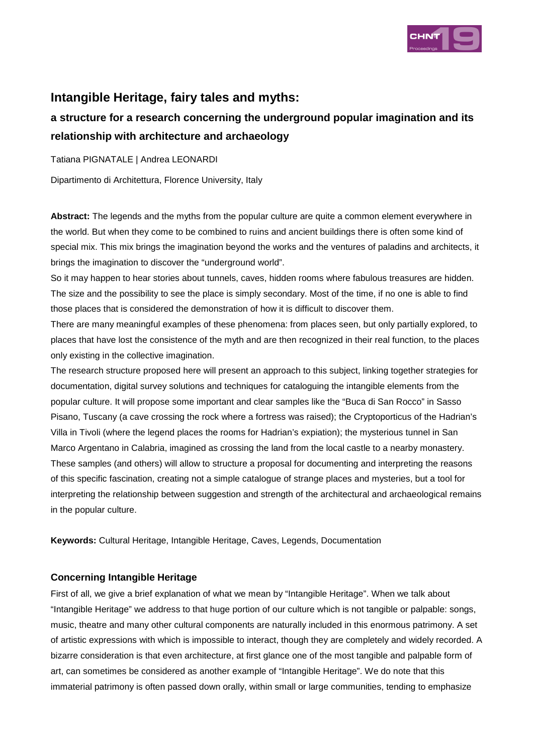

# **Intangible Heritage, fairy tales and myths:**

# **a structure for a research concerning the underground popular imagination and its relationship with architecture and archaeology**

Tatiana PIGNATALE | Andrea LEONARDI

Dipartimento di Architettura, Florence University, Italy

**Abstract:** The legends and the myths from the popular culture are quite a common element everywhere in the world. But when they come to be combined to ruins and ancient buildings there is often some kind of special mix. This mix brings the imagination beyond the works and the ventures of paladins and architects, it brings the imagination to discover the "underground world".

So it may happen to hear stories about tunnels, caves, hidden rooms where fabulous treasures are hidden. The size and the possibility to see the place is simply secondary. Most of the time, if no one is able to find those places that is considered the demonstration of how it is difficult to discover them.

There are many meaningful examples of these phenomena: from places seen, but only partially explored, to places that have lost the consistence of the myth and are then recognized in their real function, to the places only existing in the collective imagination.

The research structure proposed here will present an approach to this subject, linking together strategies for documentation, digital survey solutions and techniques for cataloguing the intangible elements from the popular culture. It will propose some important and clear samples like the "Buca di San Rocco" in Sasso Pisano, Tuscany (a cave crossing the rock where a fortress was raised); the Cryptoporticus of the Hadrian's Villa in Tivoli (where the legend places the rooms for Hadrian's expiation); the mysterious tunnel in San Marco Argentano in Calabria, imagined as crossing the land from the local castle to a nearby monastery. These samples (and others) will allow to structure a proposal for documenting and interpreting the reasons of this specific fascination, creating not a simple catalogue of strange places and mysteries, but a tool for interpreting the relationship between suggestion and strength of the architectural and archaeological remains in the popular culture.

**Keywords:** Cultural Heritage, Intangible Heritage, Caves, Legends, Documentation

### **Concerning Intangible Heritage**

First of all, we give a brief explanation of what we mean by "Intangible Heritage". When we talk about "Intangible Heritage" we address to that huge portion of our culture which is not tangible or palpable: songs, music, theatre and many other cultural components are naturally included in this enormous patrimony. A set of artistic expressions with which is impossible to interact, though they are completely and widely recorded. A bizarre consideration is that even architecture, at first glance one of the most tangible and palpable form of art, can sometimes be considered as another example of "Intangible Heritage". We do note that this immaterial patrimony is often passed down orally, within small or large communities, tending to emphasize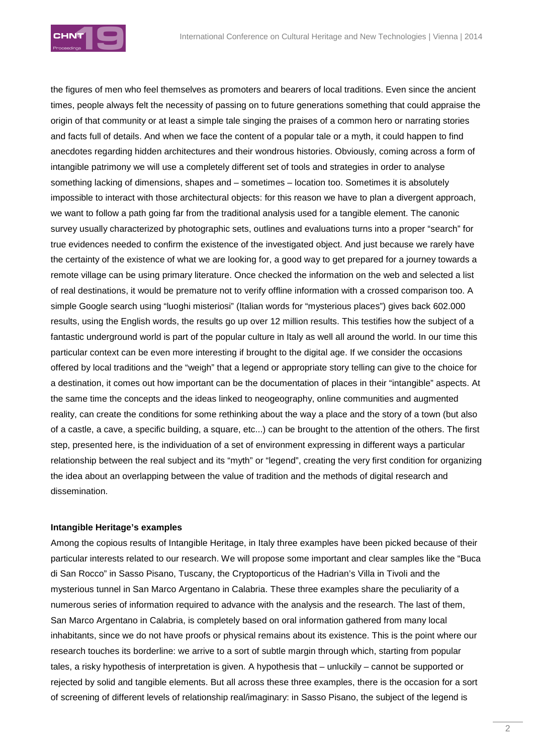

the figures of men who feel themselves as promoters and bearers of local traditions. Even since the ancient times, people always felt the necessity of passing on to future generations something that could appraise the origin of that community or at least a simple tale singing the praises of a common hero or narrating stories and facts full of details. And when we face the content of a popular tale or a myth, it could happen to find anecdotes regarding hidden architectures and their wondrous histories. Obviously, coming across a form of intangible patrimony we will use a completely different set of tools and strategies in order to analyse something lacking of dimensions, shapes and – sometimes – location too. Sometimes it is absolutely impossible to interact with those architectural objects: for this reason we have to plan a divergent approach, we want to follow a path going far from the traditional analysis used for a tangible element. The canonic survey usually characterized by photographic sets, outlines and evaluations turns into a proper "search" for true evidences needed to confirm the existence of the investigated object. And just because we rarely have the certainty of the existence of what we are looking for, a good way to get prepared for a journey towards a remote village can be using primary literature. Once checked the information on the web and selected a list of real destinations, it would be premature not to verify offline information with a crossed comparison too. A simple Google search using "luoghi misteriosi" (Italian words for "mysterious places") gives back 602.000 results, using the English words, the results go up over 12 million results. This testifies how the subject of a fantastic underground world is part of the popular culture in Italy as well all around the world. In our time this particular context can be even more interesting if brought to the digital age. If we consider the occasions offered by local traditions and the "weigh" that a legend or appropriate story telling can give to the choice for a destination, it comes out how important can be the documentation of places in their "intangible" aspects. At the same time the concepts and the ideas linked to neogeography, online communities and augmented reality, can create the conditions for some rethinking about the way a place and the story of a town (but also of a castle, a cave, a specific building, a square, etc...) can be brought to the attention of the others. The first step, presented here, is the individuation of a set of environment expressing in different ways a particular relationship between the real subject and its "myth" or "legend", creating the very first condition for organizing the idea about an overlapping between the value of tradition and the methods of digital research and dissemination.

#### **Intangible Heritage's examples**

Among the copious results of Intangible Heritage, in Italy three examples have been picked because of their particular interests related to our research. We will propose some important and clear samples like the "Buca di San Rocco" in Sasso Pisano, Tuscany, the Cryptoporticus of the Hadrian's Villa in Tivoli and the mysterious tunnel in San Marco Argentano in Calabria. These three examples share the peculiarity of a numerous series of information required to advance with the analysis and the research. The last of them, San Marco Argentano in Calabria, is completely based on oral information gathered from many local inhabitants, since we do not have proofs or physical remains about its existence. This is the point where our research touches its borderline: we arrive to a sort of subtle margin through which, starting from popular tales, a risky hypothesis of interpretation is given. A hypothesis that – unluckily – cannot be supported or rejected by solid and tangible elements. But all across these three examples, there is the occasion for a sort of screening of different levels of relationship real/imaginary: in Sasso Pisano, the subject of the legend is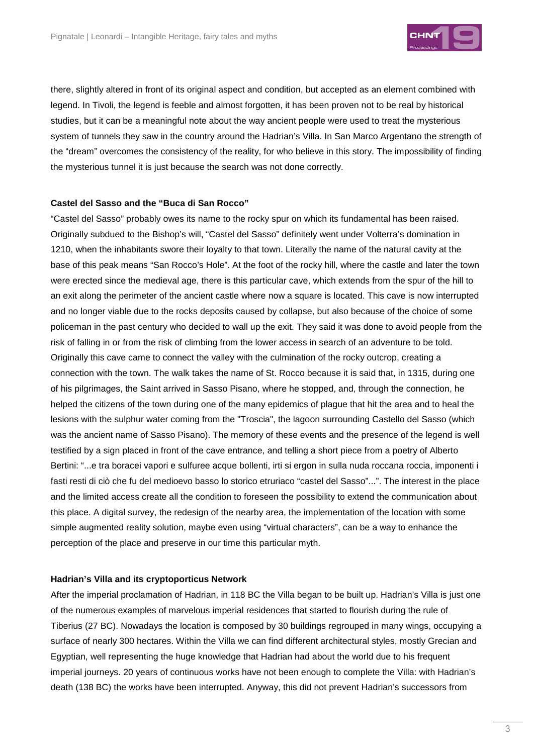

there, slightly altered in front of its original aspect and condition, but accepted as an element combined with legend. In Tivoli, the legend is feeble and almost forgotten, it has been proven not to be real by historical studies, but it can be a meaningful note about the way ancient people were used to treat the mysterious system of tunnels they saw in the country around the Hadrian's Villa. In San Marco Argentano the strength of the "dream" overcomes the consistency of the reality, for who believe in this story. The impossibility of finding the mysterious tunnel it is just because the search was not done correctly.

#### **Castel del Sasso and the "Buca di San Rocco"**

"Castel del Sasso" probably owes its name to the rocky spur on which its fundamental has been raised. Originally subdued to the Bishop's will, "Castel del Sasso" definitely went under Volterra's domination in 1210, when the inhabitants swore their loyalty to that town. Literally the name of the natural cavity at the base of this peak means "San Rocco's Hole". At the foot of the rocky hill, where the castle and later the town were erected since the medieval age, there is this particular cave, which extends from the spur of the hill to an exit along the perimeter of the ancient castle where now a square is located. This cave is now interrupted and no longer viable due to the rocks deposits caused by collapse, but also because of the choice of some policeman in the past century who decided to wall up the exit. They said it was done to avoid people from the risk of falling in or from the risk of climbing from the lower access in search of an adventure to be told. Originally this cave came to connect the valley with the culmination of the rocky outcrop, creating a connection with the town. The walk takes the name of St. Rocco because it is said that, in 1315, during one of his pilgrimages, the Saint arrived in Sasso Pisano, where he stopped, and, through the connection, he helped the citizens of the town during one of the many epidemics of plague that hit the area and to heal the lesions with the sulphur water coming from the "Troscia", the lagoon surrounding Castello del Sasso (which was the ancient name of Sasso Pisano). The memory of these events and the presence of the legend is well testified by a sign placed in front of the cave entrance, and telling a short piece from a poetry of Alberto Bertini: "...e tra boracei vapori e sulfuree acque bollenti, irti si ergon in sulla nuda roccana roccia, imponenti i fasti resti di ciò che fu del medioevo basso lo storico etruriaco "castel del Sasso"...". The interest in the place and the limited access create all the condition to foreseen the possibility to extend the communication about this place. A digital survey, the redesign of the nearby area, the implementation of the location with some simple augmented reality solution, maybe even using "virtual characters", can be a way to enhance the perception of the place and preserve in our time this particular myth.

#### **Hadrian's Villa and its cryptoporticus Network**

After the imperial proclamation of Hadrian, in 118 BC the Villa began to be built up. Hadrian's Villa is just one of the numerous examples of marvelous imperial residences that started to flourish during the rule of Tiberius (27 BC). Nowadays the location is composed by 30 buildings regrouped in many wings, occupying a surface of nearly 300 hectares. Within the Villa we can find different architectural styles, mostly Grecian and Egyptian, well representing the huge knowledge that Hadrian had about the world due to his frequent imperial journeys. 20 years of continuous works have not been enough to complete the Villa: with Hadrian's death (138 BC) the works have been interrupted. Anyway, this did not prevent Hadrian's successors from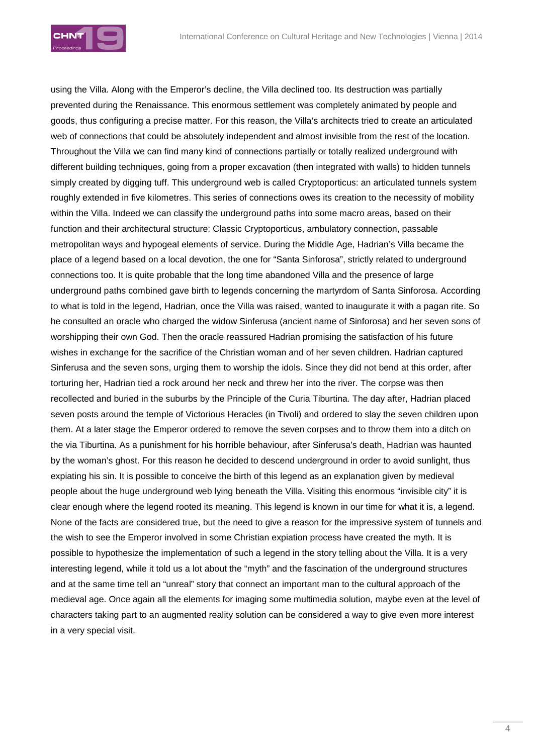

using the Villa. Along with the Emperor's decline, the Villa declined too. Its destruction was partially prevented during the Renaissance. This enormous settlement was completely animated by people and goods, thus configuring a precise matter. For this reason, the Villa's architects tried to create an articulated web of connections that could be absolutely independent and almost invisible from the rest of the location. Throughout the Villa we can find many kind of connections partially or totally realized underground with different building techniques, going from a proper excavation (then integrated with walls) to hidden tunnels simply created by digging tuff. This underground web is called Cryptoporticus: an articulated tunnels system roughly extended in five kilometres. This series of connections owes its creation to the necessity of mobility within the Villa. Indeed we can classify the underground paths into some macro areas, based on their function and their architectural structure: Classic Cryptoporticus, ambulatory connection, passable metropolitan ways and hypogeal elements of service. During the Middle Age, Hadrian's Villa became the place of a legend based on a local devotion, the one for "Santa Sinforosa", strictly related to underground connections too. It is quite probable that the long time abandoned Villa and the presence of large underground paths combined gave birth to legends concerning the martyrdom of Santa Sinforosa. According to what is told in the legend, Hadrian, once the Villa was raised, wanted to inaugurate it with a pagan rite. So he consulted an oracle who charged the widow Sinferusa (ancient name of Sinforosa) and her seven sons of worshipping their own God. Then the oracle reassured Hadrian promising the satisfaction of his future wishes in exchange for the sacrifice of the Christian woman and of her seven children. Hadrian captured Sinferusa and the seven sons, urging them to worship the idols. Since they did not bend at this order, after torturing her, Hadrian tied a rock around her neck and threw her into the river. The corpse was then recollected and buried in the suburbs by the Principle of the Curia Tiburtina. The day after, Hadrian placed seven posts around the temple of Victorious Heracles (in Tivoli) and ordered to slay the seven children upon them. At a later stage the Emperor ordered to remove the seven corpses and to throw them into a ditch on the via Tiburtina. As a punishment for his horrible behaviour, after Sinferusa's death, Hadrian was haunted by the woman's ghost. For this reason he decided to descend underground in order to avoid sunlight, thus expiating his sin. It is possible to conceive the birth of this legend as an explanation given by medieval people about the huge underground web lying beneath the Villa. Visiting this enormous "invisible city" it is clear enough where the legend rooted its meaning. This legend is known in our time for what it is, a legend. None of the facts are considered true, but the need to give a reason for the impressive system of tunnels and the wish to see the Emperor involved in some Christian expiation process have created the myth. It is possible to hypothesize the implementation of such a legend in the story telling about the Villa. It is a very interesting legend, while it told us a lot about the "myth" and the fascination of the underground structures and at the same time tell an "unreal" story that connect an important man to the cultural approach of the medieval age. Once again all the elements for imaging some multimedia solution, maybe even at the level of characters taking part to an augmented reality solution can be considered a way to give even more interest in a very special visit.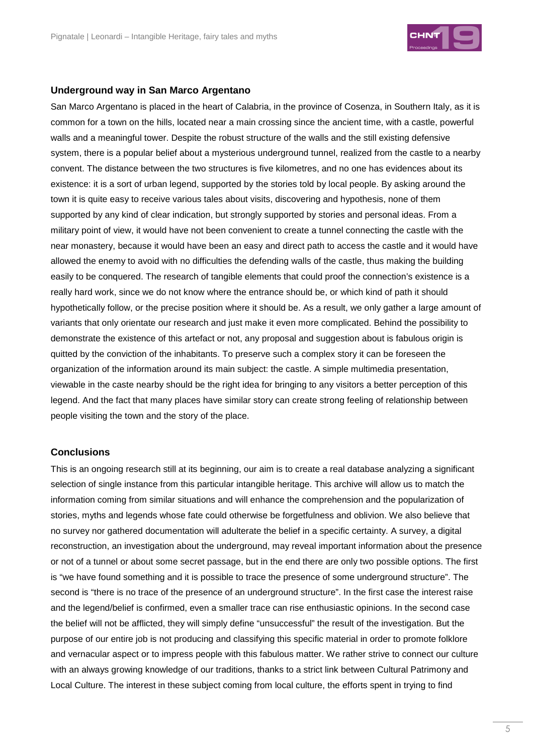

#### **Underground way in San Marco Argentano**

San Marco Argentano is placed in the heart of Calabria, in the province of Cosenza, in Southern Italy, as it is common for a town on the hills, located near a main crossing since the ancient time, with a castle, powerful walls and a meaningful tower. Despite the robust structure of the walls and the still existing defensive system, there is a popular belief about a mysterious underground tunnel, realized from the castle to a nearby convent. The distance between the two structures is five kilometres, and no one has evidences about its existence: it is a sort of urban legend, supported by the stories told by local people. By asking around the town it is quite easy to receive various tales about visits, discovering and hypothesis, none of them supported by any kind of clear indication, but strongly supported by stories and personal ideas. From a military point of view, it would have not been convenient to create a tunnel connecting the castle with the near monastery, because it would have been an easy and direct path to access the castle and it would have allowed the enemy to avoid with no difficulties the defending walls of the castle, thus making the building easily to be conquered. The research of tangible elements that could proof the connection's existence is a really hard work, since we do not know where the entrance should be, or which kind of path it should hypothetically follow, or the precise position where it should be. As a result, we only gather a large amount of variants that only orientate our research and just make it even more complicated. Behind the possibility to demonstrate the existence of this artefact or not, any proposal and suggestion about is fabulous origin is quitted by the conviction of the inhabitants. To preserve such a complex story it can be foreseen the organization of the information around its main subject: the castle. A simple multimedia presentation, viewable in the caste nearby should be the right idea for bringing to any visitors a better perception of this legend. And the fact that many places have similar story can create strong feeling of relationship between people visiting the town and the story of the place.

#### **Conclusions**

This is an ongoing research still at its beginning, our aim is to create a real database analyzing a significant selection of single instance from this particular intangible heritage. This archive will allow us to match the information coming from similar situations and will enhance the comprehension and the popularization of stories, myths and legends whose fate could otherwise be forgetfulness and oblivion. We also believe that no survey nor gathered documentation will adulterate the belief in a specific certainty. A survey, a digital reconstruction, an investigation about the underground, may reveal important information about the presence or not of a tunnel or about some secret passage, but in the end there are only two possible options. The first is "we have found something and it is possible to trace the presence of some underground structure". The second is "there is no trace of the presence of an underground structure". In the first case the interest raise and the legend/belief is confirmed, even a smaller trace can rise enthusiastic opinions. In the second case the belief will not be afflicted, they will simply define "unsuccessful" the result of the investigation. But the purpose of our entire job is not producing and classifying this specific material in order to promote folklore and vernacular aspect or to impress people with this fabulous matter. We rather strive to connect our culture with an always growing knowledge of our traditions, thanks to a strict link between Cultural Patrimony and Local Culture. The interest in these subject coming from local culture, the efforts spent in trying to find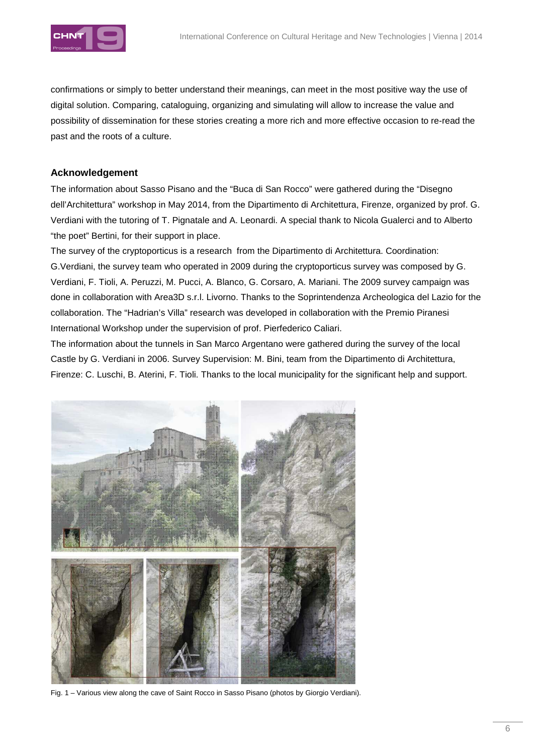

confirmations or simply to better understand their meanings, can meet in the most positive way the use of digital solution. Comparing, cataloguing, organizing and simulating will allow to increase the value and possibility of dissemination for these stories creating a more rich and more effective occasion to re-read the past and the roots of a culture.

## **Acknowledgement**

The information about Sasso Pisano and the "Buca di San Rocco" were gathered during the "Disegno dell'Architettura" workshop in May 2014, from the Dipartimento di Architettura, Firenze, organized by prof. G. Verdiani with the tutoring of T. Pignatale and A. Leonardi. A special thank to Nicola Gualerci and to Alberto "the poet" Bertini, for their support in place.

The survey of the cryptoporticus is a research from the Dipartimento di Architettura. Coordination: G.Verdiani, the survey team who operated in 2009 during the cryptoporticus survey was composed by G. Verdiani, F. Tioli, A. Peruzzi, M. Pucci, A. Blanco, G. Corsaro, A. Mariani. The 2009 survey campaign was done in collaboration with Area3D s.r.l. Livorno. Thanks to the Soprintendenza Archeologica del Lazio for the collaboration. The "Hadrian's Villa" research was developed in collaboration with the Premio Piranesi International Workshop under the supervision of prof. Pierfederico Caliari.

The information about the tunnels in San Marco Argentano were gathered during the survey of the local Castle by G. Verdiani in 2006. Survey Supervision: M. Bini, team from the Dipartimento di Architettura, Firenze: C. Luschi, B. Aterini, F. Tioli. Thanks to the local municipality for the significant help and support.



Fig. 1 – Various view along the cave of Saint Rocco in Sasso Pisano (photos by Giorgio Verdiani).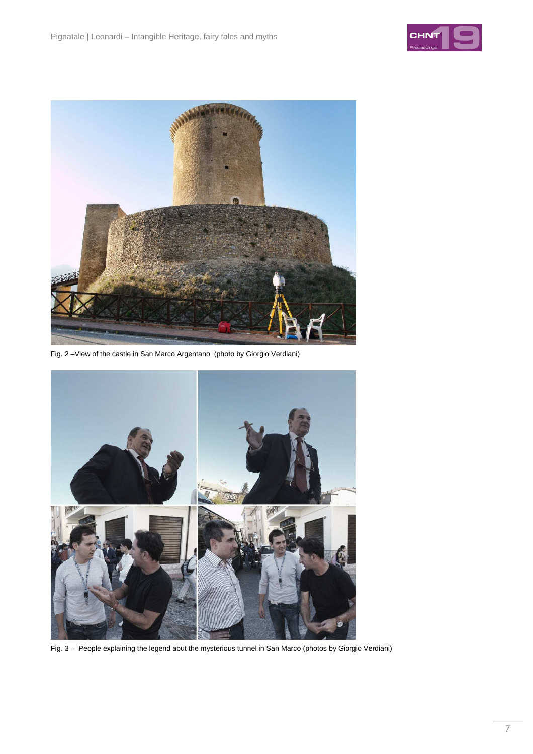



Fig. 2 –View of the castle in San Marco Argentano (photo by Giorgio Verdiani)



Fig. 3 – People explaining the legend abut the mysterious tunnel in San Marco (photos by Giorgio Verdiani)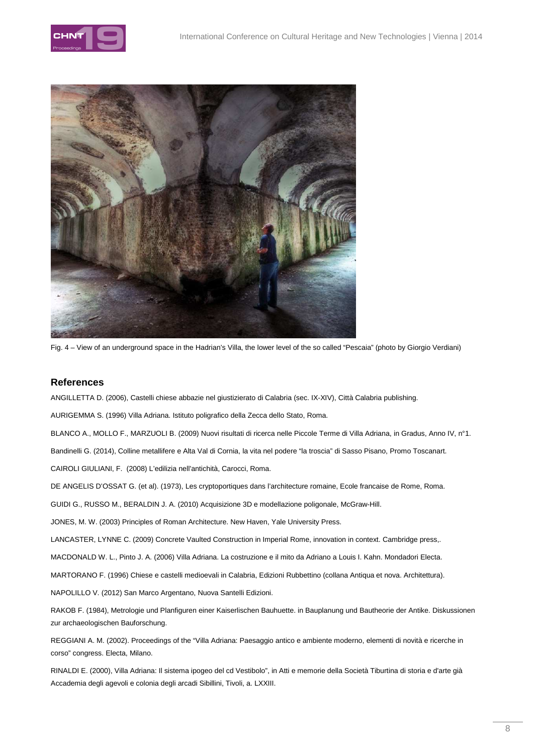



Fig. 4 – View of an underground space in the Hadrian's Villa, the lower level of the so called "Pescaia" (photo by Giorgio Verdiani)

#### **References**

ANGILLETTA D. (2006), Castelli chiese abbazie nel giustizierato di Calabria (sec. IX-XIV), Città Calabria publishing.

AURIGEMMA S. (1996) Villa Adriana. Istituto poligrafico della Zecca dello Stato, Roma.

BLANCO A., MOLLO F., MARZUOLI B. (2009) Nuovi risultati di ricerca nelle Piccole Terme di Villa Adriana, in Gradus, Anno IV, n°1.

Bandinelli G. (2014), Colline metallifere e Alta Val di Cornia, la vita nel podere "la troscia" di Sasso Pisano, Promo Toscanart.

CAIROLI GIULIANI, F. (2008) L'edilizia nell'antichità, Carocci, Roma.

DE ANGELIS D'OSSAT G. (et al). (1973), Les cryptoportiques dans l'architecture romaine, Ecole francaise de Rome, Roma.

GUIDI G., RUSSO M., BERALDIN J. A. (2010) Acquisizione 3D e modellazione poligonale, McGraw-Hill.

JONES, M. W. (2003) Principles of Roman Architecture. New Haven, Yale University Press.

LANCASTER, LYNNE C. (2009) Concrete Vaulted Construction in Imperial Rome, innovation in context. Cambridge press,.

MACDONALD W. L., Pinto J. A. (2006) Villa Adriana. La costruzione e il mito da Adriano a Louis I. Kahn. Mondadori Electa.

MARTORANO F. (1996) Chiese e castelli medioevali in Calabria, Edizioni Rubbettino (collana Antiqua et nova. Architettura).

NAPOLILLO V. (2012) San Marco Argentano, Nuova Santelli Edizioni.

RAKOB F. (1984), Metrologie und Planfiguren einer Kaiserlischen Bauhuette. in Bauplanung und Bautheorie der Antike. Diskussionen zur archaeologischen Bauforschung.

REGGIANI A. M. (2002). Proceedings of the "Villa Adriana: Paesaggio antico e ambiente moderno, elementi di novità e ricerche in corso" congress. Electa, Milano.

RINALDI E. (2000), Villa Adriana: Il sistema ipogeo del cd Vestibolo", in Atti e memorie della Società Tiburtina di storia e d'arte già Accademia degli agevoli e colonia degli arcadi Sibillini, Tivoli, a. LXXIII.